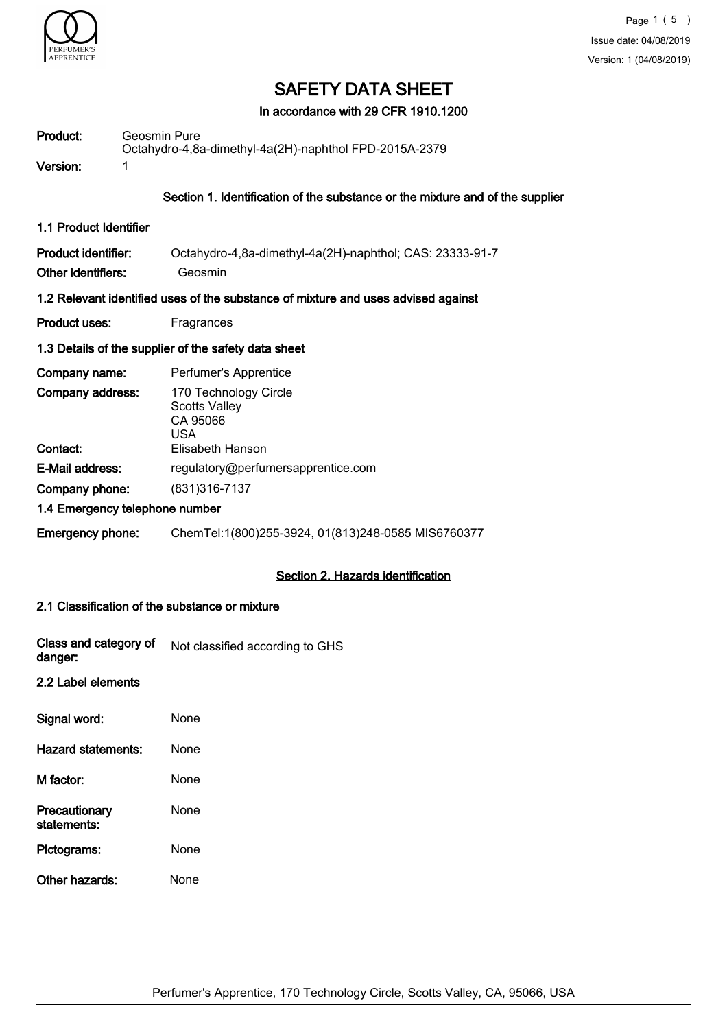

In accordance with 29 CFR 1910.1200

| Product:                                                | Geosmin Pure<br>Octahydro-4,8a-dimethyl-4a(2H)-naphthol FPD-2015A-2379            |  |
|---------------------------------------------------------|-----------------------------------------------------------------------------------|--|
| Version:                                                | 1                                                                                 |  |
|                                                         | Section 1. Identification of the substance or the mixture and of the supplier     |  |
| 1.1 Product Identifier                                  |                                                                                   |  |
| <b>Product identifier:</b><br><b>Other identifiers:</b> | Octahydro-4,8a-dimethyl-4a(2H)-naphthol; CAS: 23333-91-7<br>Geosmin               |  |
|                                                         | 1.2 Relevant identified uses of the substance of mixture and uses advised against |  |
| <b>Product uses:</b>                                    | Fragrances                                                                        |  |
|                                                         | 1.3 Details of the supplier of the safety data sheet                              |  |
| Company name:                                           | Perfumer's Apprentice                                                             |  |
| Company address:                                        | 170 Technology Circle<br><b>Scotts Valley</b><br>CA 95066<br>USA                  |  |
| Contact:                                                | Elisabeth Hanson                                                                  |  |
| E-Mail address:                                         | regulatory@perfumersapprentice.com                                                |  |
| Company phone:                                          | (831) 316-7137                                                                    |  |
|                                                         | 1.4 Emergency telephone number                                                    |  |
| <b>Emergency phone:</b>                                 | ChemTel:1(800)255-3924, 01(813)248-0585 MIS6760377                                |  |

## Section 2. Hazards identification

#### 2.1 Classification of the substance or mixture

| Class and category of<br>danger: | Not classified according to GHS |
|----------------------------------|---------------------------------|
| 2.2 Label elements               |                                 |

# Signal word: None Hazard statements: None M factor: None **Precautionary** statements: None Pictograms: None Other hazards: None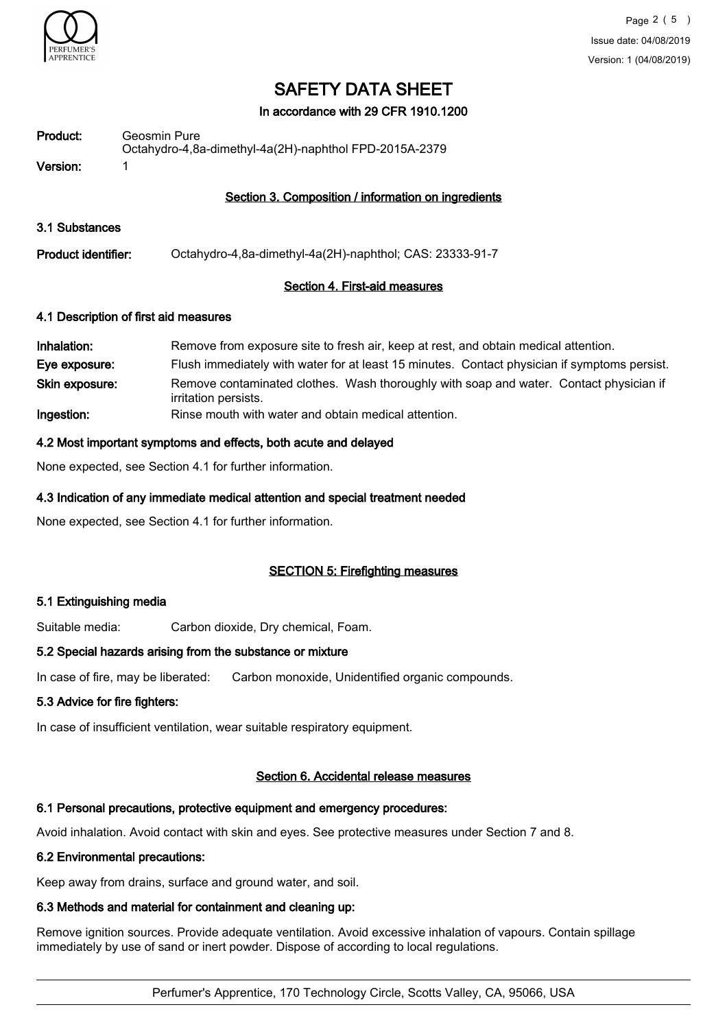

#### In accordance with 29 CFR 1910.1200

| Product: | Geosmin Pure<br>Octahydro-4,8a-dimethyl-4a(2H)-naphthol FPD-2015A-2379 |
|----------|------------------------------------------------------------------------|
| Version: |                                                                        |

#### Section 3. Composition / information on ingredients

- 3.1 Substances
- Product identifier: Octahydro-4,8a-dimethyl-4a(2H)-naphthol; CAS: 23333-91-7

#### Section 4. First-aid measures

#### 4.1 Description of first aid measures

| Inhalation:    | Remove from exposure site to fresh air, keep at rest, and obtain medical attention.                            |
|----------------|----------------------------------------------------------------------------------------------------------------|
| Eye exposure:  | Flush immediately with water for at least 15 minutes. Contact physician if symptoms persist.                   |
| Skin exposure: | Remove contaminated clothes. Wash thoroughly with soap and water. Contact physician if<br>irritation persists. |
| Ingestion:     | Rinse mouth with water and obtain medical attention.                                                           |

#### 4.2 Most important symptoms and effects, both acute and delayed

None expected, see Section 4.1 for further information.

#### 4.3 Indication of any immediate medical attention and special treatment needed

None expected, see Section 4.1 for further information.

#### SECTION 5: Firefighting measures

#### 5.1 Extinguishing media

Suitable media: Carbon dioxide, Dry chemical, Foam.

#### 5.2 Special hazards arising from the substance or mixture

In case of fire, may be liberated: Carbon monoxide, Unidentified organic compounds.

#### 5.3 Advice for fire fighters:

In case of insufficient ventilation, wear suitable respiratory equipment.

### Section 6. Accidental release measures

## 6.1 Personal precautions, protective equipment and emergency procedures:

Avoid inhalation. Avoid contact with skin and eyes. See protective measures under Section 7 and 8.

## 6.2 Environmental precautions:

Keep away from drains, surface and ground water, and soil.

### 6.3 Methods and material for containment and cleaning up:

Remove ignition sources. Provide adequate ventilation. Avoid excessive inhalation of vapours. Contain spillage immediately by use of sand or inert powder. Dispose of according to local regulations.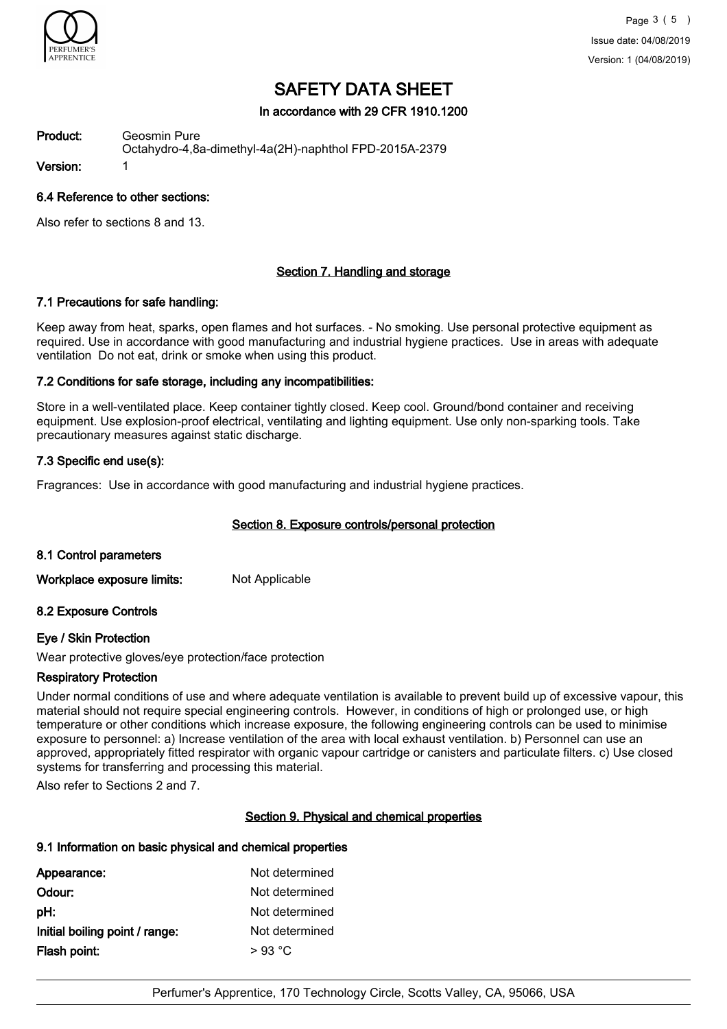

#### In accordance with 29 CFR 1910.1200

Geosmin Pure Octahydro-4,8a-dimethyl-4a(2H)-naphthol FPD-2015A-2379 Product: Version: 1

#### 6.4 Reference to other sections:

Also refer to sections 8 and 13.

#### Section 7. Handling and storage

#### 7.1 Precautions for safe handling:

Keep away from heat, sparks, open flames and hot surfaces. - No smoking. Use personal protective equipment as required. Use in accordance with good manufacturing and industrial hygiene practices. Use in areas with adequate ventilation Do not eat, drink or smoke when using this product.

#### 7.2 Conditions for safe storage, including any incompatibilities:

Store in a well-ventilated place. Keep container tightly closed. Keep cool. Ground/bond container and receiving equipment. Use explosion-proof electrical, ventilating and lighting equipment. Use only non-sparking tools. Take precautionary measures against static discharge.

#### 7.3 Specific end use(s):

Fragrances: Use in accordance with good manufacturing and industrial hygiene practices.

### Section 8. Exposure controls/personal protection

#### 8.1 Control parameters

Workplace exposure limits: Not Applicable

#### 8.2 Exposure Controls

#### Eye / Skin Protection

Wear protective gloves/eye protection/face protection

### Respiratory Protection

Under normal conditions of use and where adequate ventilation is available to prevent build up of excessive vapour, this material should not require special engineering controls. However, in conditions of high or prolonged use, or high temperature or other conditions which increase exposure, the following engineering controls can be used to minimise exposure to personnel: a) Increase ventilation of the area with local exhaust ventilation. b) Personnel can use an approved, appropriately fitted respirator with organic vapour cartridge or canisters and particulate filters. c) Use closed systems for transferring and processing this material.

Also refer to Sections 2 and 7.

#### Section 9. Physical and chemical properties

## 9.1 Information on basic physical and chemical properties

| Not determined |
|----------------|
| Not determined |
| Not determined |
| Not determined |
|                |
|                |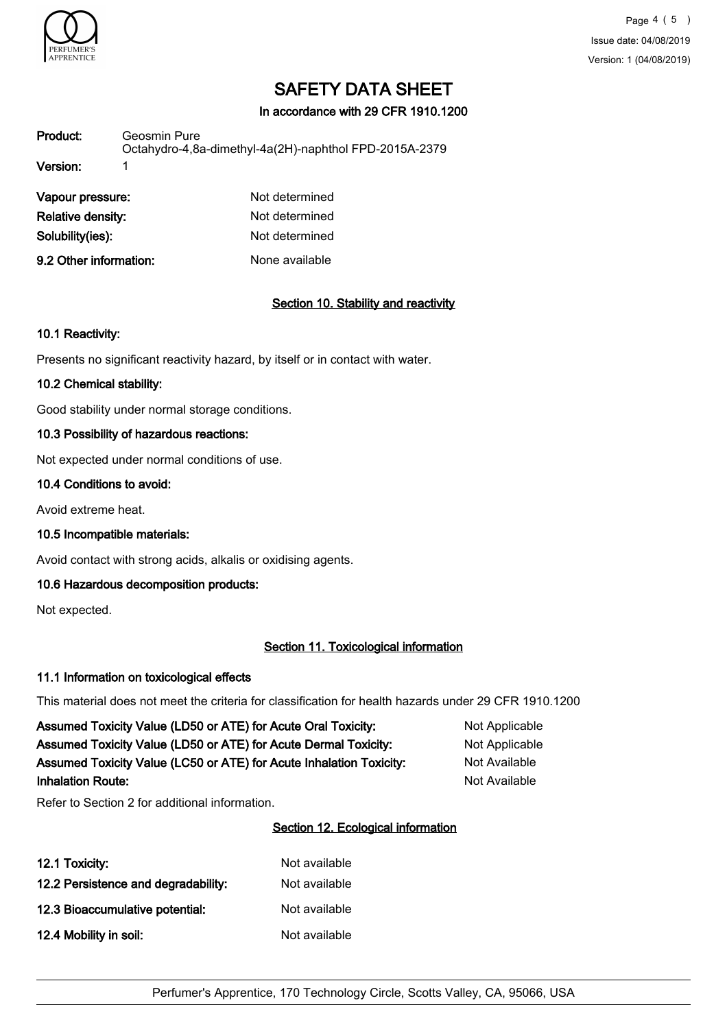

In accordance with 29 CFR 1910.1200

| Product: | Geosmin Pure<br>Octahydro-4,8a-dimethyl-4a(2H)-naphthol FPD-2015A-2379 |
|----------|------------------------------------------------------------------------|
| Version: |                                                                        |

| Vapour pressure:       | Not determined |
|------------------------|----------------|
| Relative density:      | Not determined |
| Solubility(ies):       | Not determined |
| 9.2 Other information: | None available |

## Section 10. Stability and reactivity

#### 10.1 Reactivity:

Presents no significant reactivity hazard, by itself or in contact with water.

#### 10.2 Chemical stability:

Good stability under normal storage conditions.

#### 10.3 Possibility of hazardous reactions:

Not expected under normal conditions of use.

#### 10.4 Conditions to avoid:

Avoid extreme heat.

10.5 Incompatible materials:

Avoid contact with strong acids, alkalis or oxidising agents.

#### 10.6 Hazardous decomposition products:

Not expected.

#### Section 11. Toxicological information

#### 11.1 Information on toxicological effects

This material does not meet the criteria for classification for health hazards under 29 CFR 1910.1200

| Assumed Toxicity Value (LD50 or ATE) for Acute Oral Toxicity:       | Not Applicable |
|---------------------------------------------------------------------|----------------|
| Assumed Toxicity Value (LD50 or ATE) for Acute Dermal Toxicity:     | Not Applicable |
| Assumed Toxicity Value (LC50 or ATE) for Acute Inhalation Toxicity: | Not Available  |
| <b>Inhalation Route:</b>                                            | Not Available  |

Refer to Section 2 for additional information.

#### Section 12. Ecological information

| 12.1 Toxicity:                      | Not available |
|-------------------------------------|---------------|
| 12.2 Persistence and degradability: | Not available |
| 12.3 Bioaccumulative potential:     | Not available |
| 12.4 Mobility in soil:              | Not available |